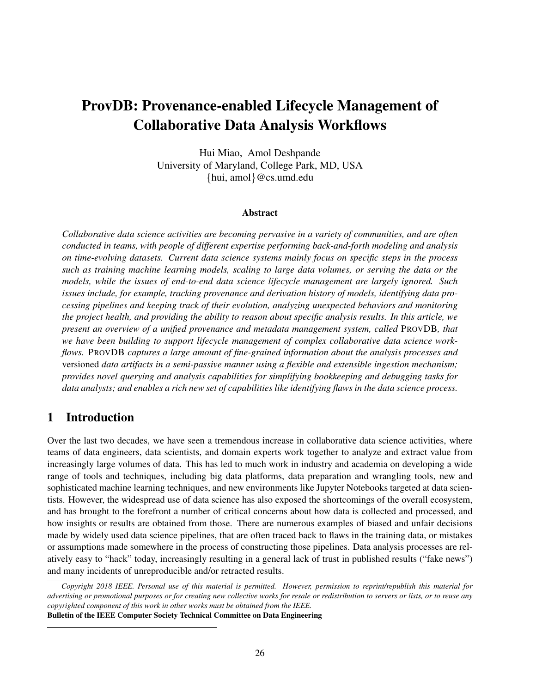# ProvDB: Provenance-enabled Lifecycle Management of Collaborative Data Analysis Workflows

Hui Miao, Amol Deshpande University of Maryland, College Park, MD, USA {hui, amol}@cs.umd.edu

#### Abstract

*Collaborative data science activities are becoming pervasive in a variety of communities, and are often conducted in teams, with people of different expertise performing back-and-forth modeling and analysis on time-evolving datasets. Current data science systems mainly focus on specific steps in the process such as training machine learning models, scaling to large data volumes, or serving the data or the models, while the issues of end-to-end data science lifecycle management are largely ignored. Such issues include, for example, tracking provenance and derivation history of models, identifying data processing pipelines and keeping track of their evolution, analyzing unexpected behaviors and monitoring the project health, and providing the ability to reason about specific analysis results. In this article, we present an overview of a unified provenance and metadata management system, called* PROVDB*, that we have been building to support lifecycle management of complex collaborative data science workflows.* PROVDB *captures a large amount of fine-grained information about the analysis processes and* versioned *data artifacts in a semi-passive manner using a flexible and extensible ingestion mechanism; provides novel querying and analysis capabilities for simplifying bookkeeping and debugging tasks for data analysts; and enables a rich new set of capabilities like identifying flaws in the data science process.*

# 1 Introduction

Over the last two decades, we have seen a tremendous increase in collaborative data science activities, where teams of data engineers, data scientists, and domain experts work together to analyze and extract value from increasingly large volumes of data. This has led to much work in industry and academia on developing a wide range of tools and techniques, including big data platforms, data preparation and wrangling tools, new and sophisticated machine learning techniques, and new environments like Jupyter Notebooks targeted at data scientists. However, the widespread use of data science has also exposed the shortcomings of the overall ecosystem, and has brought to the forefront a number of critical concerns about how data is collected and processed, and how insights or results are obtained from those. There are numerous examples of biased and unfair decisions made by widely used data science pipelines, that are often traced back to flaws in the training data, or mistakes or assumptions made somewhere in the process of constructing those pipelines. Data analysis processes are relatively easy to "hack" today, increasingly resulting in a general lack of trust in published results ("fake news") and many incidents of unreproducible and/or retracted results.

*Copyright 2018 IEEE. Personal use of this material is permitted. However, permission to reprint/republish this material for advertising or promotional purposes or for creating new collective works for resale or redistribution to servers or lists, or to reuse any copyrighted component of this work in other works must be obtained from the IEEE.*

Bulletin of the IEEE Computer Society Technical Committee on Data Engineering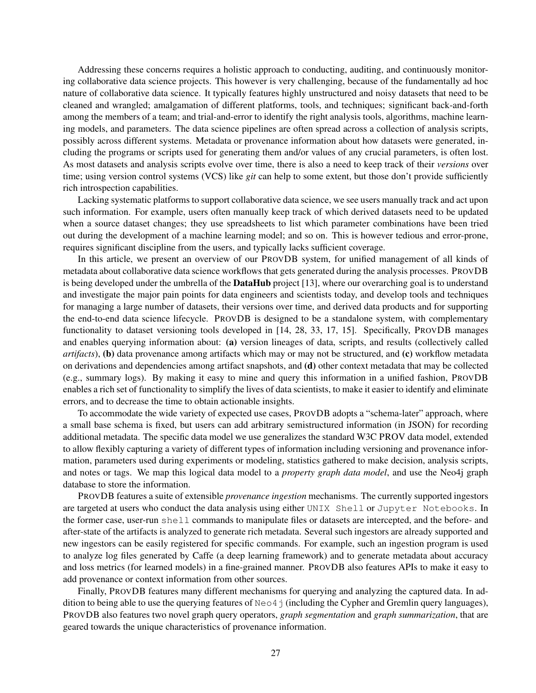Addressing these concerns requires a holistic approach to conducting, auditing, and continuously monitoring collaborative data science projects. This however is very challenging, because of the fundamentally ad hoc nature of collaborative data science. It typically features highly unstructured and noisy datasets that need to be cleaned and wrangled; amalgamation of different platforms, tools, and techniques; significant back-and-forth among the members of a team; and trial-and-error to identify the right analysis tools, algorithms, machine learning models, and parameters. The data science pipelines are often spread across a collection of analysis scripts, possibly across different systems. Metadata or provenance information about how datasets were generated, including the programs or scripts used for generating them and/or values of any crucial parameters, is often lost. As most datasets and analysis scripts evolve over time, there is also a need to keep track of their *versions* over time; using version control systems (VCS) like *git* can help to some extent, but those don't provide sufficiently rich introspection capabilities.

Lacking systematic platforms to support collaborative data science, we see users manually track and act upon such information. For example, users often manually keep track of which derived datasets need to be updated when a source dataset changes; they use spreadsheets to list which parameter combinations have been tried out during the development of a machine learning model; and so on. This is however tedious and error-prone, requires significant discipline from the users, and typically lacks sufficient coverage.

In this article, we present an overview of our PROVDB system, for unified management of all kinds of metadata about collaborative data science workflows that gets generated during the analysis processes. PROVDB is being developed under the umbrella of the **DataHub** project [13], where our overarching goal is to understand and investigate the major pain points for data engineers and scientists today, and develop tools and techniques for managing a large number of datasets, their versions over time, and derived data products and for supporting the end-to-end data science lifecycle. PROVDB is designed to be a standalone system, with complementary functionality to dataset versioning tools developed in [14, 28, 33, 17, 15]. Specifically, PROVDB manages and enables querying information about: (a) version lineages of data, scripts, and results (collectively called *artifacts*), (b) data provenance among artifacts which may or may not be structured, and (c) workflow metadata on derivations and dependencies among artifact snapshots, and (d) other context metadata that may be collected (e.g., summary logs). By making it easy to mine and query this information in a unified fashion, PROVDB enables a rich set of functionality to simplify the lives of data scientists, to make it easier to identify and eliminate errors, and to decrease the time to obtain actionable insights.

To accommodate the wide variety of expected use cases, PROVDB adopts a "schema-later" approach, where a small base schema is fixed, but users can add arbitrary semistructured information (in JSON) for recording additional metadata. The specific data model we use generalizes the standard W3C PROV data model, extended to allow flexibly capturing a variety of different types of information including versioning and provenance information, parameters used during experiments or modeling, statistics gathered to make decision, analysis scripts, and notes or tags. We map this logical data model to a *property graph data model*, and use the Neo4j graph database to store the information.

PROVDB features a suite of extensible *provenance ingestion* mechanisms. The currently supported ingestors are targeted at users who conduct the data analysis using either UNIX Shell or Jupyter Notebooks. In the former case, user-run shell commands to manipulate files or datasets are intercepted, and the before- and after-state of the artifacts is analyzed to generate rich metadata. Several such ingestors are already supported and new ingestors can be easily registered for specific commands. For example, such an ingestion program is used to analyze log files generated by Caffe (a deep learning framework) and to generate metadata about accuracy and loss metrics (for learned models) in a fine-grained manner. PROVDB also features APIs to make it easy to add provenance or context information from other sources.

Finally, PROVDB features many different mechanisms for querying and analyzing the captured data. In addition to being able to use the querying features of  $N\infty$  (including the Cypher and Gremlin query languages), PROVDB also features two novel graph query operators, *graph segmentation* and *graph summarization*, that are geared towards the unique characteristics of provenance information.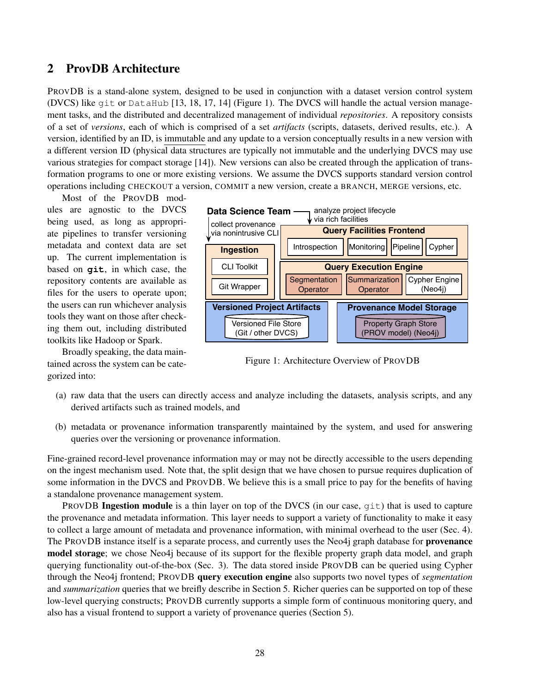## 2 ProvDB Architecture

PROVDB is a stand-alone system, designed to be used in conjunction with a dataset version control system (DVCS) like git or DataHub [13, 18, 17, 14] (Figure 1). The DVCS will handle the actual version management tasks, and the distributed and decentralized management of individual *repositories*. A repository consists of a set of *versions*, each of which is comprised of a set *artifacts* (scripts, datasets, derived results, etc.). A version, identified by an ID, is immutable and any update to a version conceptually results in a new version with a different version ID (physical data structures are typically not immutable and the underlying DVCS may use various strategies for compact storage [14]). New versions can also be created through the application of transformation programs to one or more existing versions. We assume the DVCS supports standard version control operations including CHECKOUT a version, COMMIT a new version, create a BRANCH, MERGE versions, etc.

Most of the PROVDB modules are agnostic to the DVCS being used, as long as appropriate pipelines to transfer versioning metadata and context data are set up. The current implementation is based on **git**, in which case, the repository contents are available as files for the users to operate upon; the users can run whichever analysis tools they want on those after checking them out, including distributed toolkits like Hadoop or Spark.

Broadly speaking, the data maintained across the system can be categorized into:



Figure 1: Architecture Overview of PROVDB

- (a) raw data that the users can directly access and analyze including the datasets, analysis scripts, and any derived artifacts such as trained models, and
- (b) metadata or provenance information transparently maintained by the system, and used for answering queries over the versioning or provenance information.

Fine-grained record-level provenance information may or may not be directly accessible to the users depending on the ingest mechanism used. Note that, the split design that we have chosen to pursue requires duplication of some information in the DVCS and PROVDB. We believe this is a small price to pay for the benefits of having a standalone provenance management system.

PROVDB Ingestion module is a thin layer on top of the DVCS (in our case, git) that is used to capture the provenance and metadata information. This layer needs to support a variety of functionality to make it easy to collect a large amount of metadata and provenance information, with minimal overhead to the user (Sec. 4). The PROVDB instance itself is a separate process, and currently uses the Neo4j graph database for **provenance** model storage; we chose Neo4j because of its support for the flexible property graph data model, and graph querying functionality out-of-the-box (Sec. 3). The data stored inside PROVDB can be queried using Cypher through the Neo4j frontend; PROVDB query execution engine also supports two novel types of *segmentation* and *summarization* queries that we breifly describe in Section 5. Richer queries can be supported on top of these low-level querying constructs; PROVDB currently supports a simple form of continuous monitoring query, and also has a visual frontend to support a variety of provenance queries (Section 5).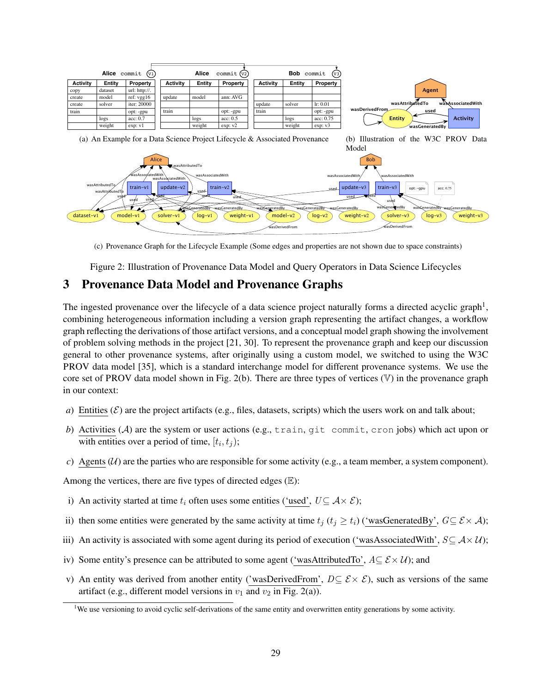

(c) Provenance Graph for the Lifecycle Example (Some edges and properties are not shown due to space constraints)

Figure 2: Illustration of Provenance Data Model and Query Operators in Data Science Lifecycles

# 3 Provenance Data Model and Provenance Graphs

The ingested provenance over the lifecycle of a data science project naturally forms a directed acyclic graph<sup>1</sup>, combining heterogeneous information including a version graph representing the artifact changes, a workflow graph reflecting the derivations of those artifact versions, and a conceptual model graph showing the involvement of problem solving methods in the project [21, 30]. To represent the provenance graph and keep our discussion general to other provenance systems, after originally using a custom model, we switched to using the W3C PROV data model [35], which is a standard interchange model for different provenance systems. We use the core set of PROV data model shown in Fig. 2(b). There are three types of vertices  $(V)$  in the provenance graph in our context:

- *a*) Entities ( $\mathcal{E}$ ) are the project artifacts (e.g., files, datasets, scripts) which the users work on and talk about;
- *b*) Activities (A) are the system or user actions (e.g., train, git commit, cron jobs) which act upon or with entities over a period of time,  $[t_i, t_j)$ ;
- *c*) Agents ( $U$ ) are the parties who are responsible for some activity (e.g., a team member, a system component).

Among the vertices, there are five types of directed edges  $(E)$ :

- i) An activity started at time  $t_i$  often uses some entities ('used',  $U \subseteq A \times \mathcal{E}$ );
- ii) then some entities were generated by the same activity at time  $t_i$  ( $t_i \geq t_i$ ) ('wasGeneratedBy',  $G \subseteq \mathcal{E} \times \mathcal{A}$ );
- iii) An activity is associated with some agent during its period of execution ('wasAssociatedWith',  $S \subseteq Ax \ U$ );
- iv) Some entity's presence can be attributed to some agent ('wasAttributedTo',  $A \subseteq \mathcal{E} \times \mathcal{U}$ ); and
- v) An entity was derived from another entity ('wasDerivedFrom',  $D \subseteq \mathcal{E} \times \mathcal{E}$ ), such as versions of the same artifact (e.g., different model versions in  $v_1$  and  $v_2$  in Fig. 2(a)).

<sup>&</sup>lt;sup>1</sup>We use versioning to avoid cyclic self-derivations of the same entity and overwritten entity generations by some activity.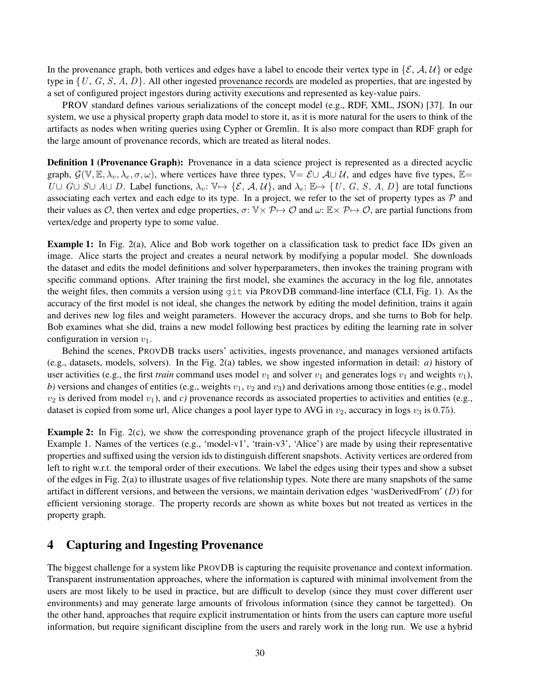In the provenance graph, both vertices and edges have a label to encode their vertex type in  $\{\mathcal{E}, \mathcal{A}, \mathcal{U}\}$  or edge type in  $\{U, G, S, A, D\}$ . All other ingested provenance records are modeled as properties, that are ingested by a set of configured project ingestors during activity executions and represented as key-value pairs.

PROV standard defines various serializations of the concept model (e.g., RDF, XML, JSON) [37]. In our system, we use a physical property graph data model to store it, as it is more natural for the users to think of the artifacts as nodes when writing queries using Cypher or Gremlin. It is also more compact than RDF graph for the large amount of provenance records, which are treated as literal nodes.

Definition 1 (Provenance Graph): Provenance in a data science project is represented as a directed acyclic graph,  $\mathcal{G}(\mathbb{V}, \mathbb{E}, \lambda_v, \lambda_e, \sigma, \omega)$ , where vertices have three types,  $\mathbb{V} = \mathcal{E} \cup \mathcal{A} \cup \mathcal{U}$ , and edges have five types,  $\mathbb{E} =$ U  $G \cup S \cup A \cup D$ . Label functions,  $\lambda_v: \mathbb{V} \mapsto \{\mathcal{E}, \mathcal{A}, \mathcal{U}\}\)$ , and  $\lambda_e: \mathbb{E} \mapsto \{U, G, S, A, D\}$  are total functions associating each vertex and each edge to its type. In a project, we refer to the set of property types as  $P$  and their values as O, then vertex and edge properties,  $\sigma: \mathbb{V} \times \mathcal{P} \mapsto \mathcal{O}$  and  $\omega: \mathbb{E} \times \mathcal{P} \mapsto \mathcal{O}$ , are partial functions from vertex/edge and property type to some value.

Example 1: In Fig. 2(a), Alice and Bob work together on a classification task to predict face IDs given an image. Alice starts the project and creates a neural network by modifying a popular model. She downloads the dataset and edits the model definitions and solver hyperparameters, then invokes the training program with specific command options. After training the first model, she examines the accuracy in the log file, annotates the weight files, then commits a version using  $q$  it via PROVDB command-line interface (CLI, Fig. 1). As the accuracy of the first model is not ideal, she changes the network by editing the model definition, trains it again and derives new log files and weight parameters. However the accuracy drops, and she turns to Bob for help. Bob examines what she did, trains a new model following best practices by editing the learning rate in solver configuration in version  $v_1$ .

Behind the scenes, PROVDB tracks users' activities, ingests provenance, and manages versioned artifacts (e.g., datasets, models, solvers). In the Fig. 2(a) tables, we show ingested information in detail: *a)* history of user activities (e.g., the first *train* command uses model  $v_1$  and solver  $v_1$  and generates logs  $v_1$  and weights  $v_1$ ), *b*) versions and changes of entities (e.g., weights  $v_1$ ,  $v_2$  and  $v_3$ ) and derivations among those entities (e.g., model  $v_2$  is derived from model  $v_1$ ), and *c*) provenance records as associated properties to activities and entities (e.g., dataset is copied from some url, Alice changes a pool layer type to AVG in  $v_2$ , accuracy in logs  $v_3$  is 0.75).

Example 2: In Fig. 2(c), we show the corresponding provenance graph of the project lifecycle illustrated in Example 1. Names of the vertices (e.g., 'model-v1', 'train-v3', 'Alice') are made by using their representative properties and suffixed using the version ids to distinguish different snapshots. Activity vertices are ordered from left to right w.r.t. the temporal order of their executions. We label the edges using their types and show a subset of the edges in Fig. 2(a) to illustrate usages of five relationship types. Note there are many snapshots of the same artifact in different versions, and between the versions, we maintain derivation edges 'wasDerivedFrom' (D) for efficient versioning storage. The property records are shown as white boxes but not treated as vertices in the property graph.

# 4 Capturing and Ingesting Provenance

The biggest challenge for a system like PROVDB is capturing the requisite provenance and context information. Transparent instrumentation approaches, where the information is captured with minimal involvement from the users are most likely to be used in practice, but are difficult to develop (since they must cover different user environments) and may generate large amounts of frivolous information (since they cannot be targetted). On the other hand, approaches that require explicit instrumentation or hints from the users can capture more useful information, but require significant discipline from the users and rarely work in the long run. We use a hybrid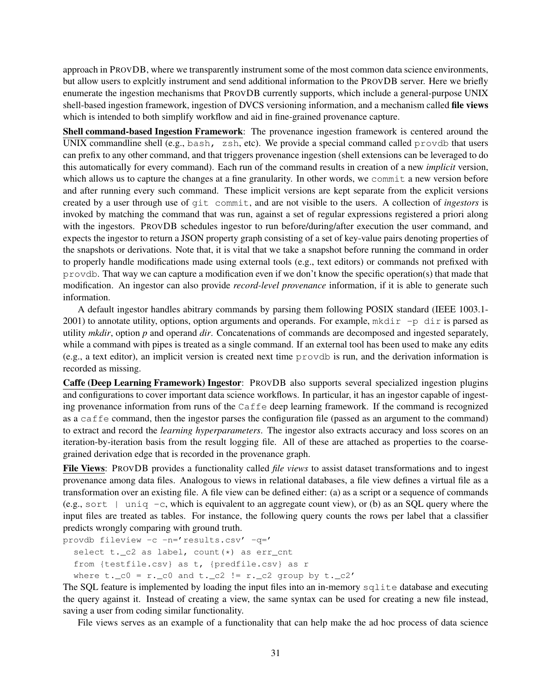approach in PROVDB, where we transparently instrument some of the most common data science environments, but allow users to explcitly instrument and send additional information to the PROVDB server. Here we briefly enumerate the ingestion mechanisms that PROVDB currently supports, which include a general-purpose UNIX shell-based ingestion framework, ingestion of DVCS versioning information, and a mechanism called file views which is intended to both simplify workflow and aid in fine-grained provenance capture.

Shell command-based Ingestion Framework: The provenance ingestion framework is centered around the UNIX commandline shell (e.g., bash, zsh, etc). We provide a special command called provdb that users can prefix to any other command, and that triggers provenance ingestion (shell extensions can be leveraged to do this automatically for every command). Each run of the command results in creation of a new *implicit* version, which allows us to capture the changes at a fine granularity. In other words, we commit a new version before and after running every such command. These implicit versions are kept separate from the explicit versions created by a user through use of git commit, and are not visible to the users. A collection of *ingestors* is invoked by matching the command that was run, against a set of regular expressions registered a priori along with the ingestors. PROVDB schedules ingestor to run before/during/after execution the user command, and expects the ingestor to return a JSON property graph consisting of a set of key-value pairs denoting properties of the snapshots or derivations. Note that, it is vital that we take a snapshot before running the command in order to properly handle modifications made using external tools (e.g., text editors) or commands not prefixed with provdb. That way we can capture a modification even if we don't know the specific operation(s) that made that modification. An ingestor can also provide *record-level provenance* information, if it is able to generate such information.

A default ingestor handles abitrary commands by parsing them following POSIX standard (IEEE 1003.1- 2001) to annotate utility, options, option arguments and operands. For example,  $mkdir -p dir$  is parsed as utility *mkdir*, option *p* and operand *dir*. Concatenations of commands are decomposed and ingested separately, while a command with pipes is treated as a single command. If an external tool has been used to make any edits (e.g., a text editor), an implicit version is created next time  $p_{\text{TOV}}$  is run, and the derivation information is recorded as missing.

Caffe (Deep Learning Framework) Ingestor: PROVDB also supports several specialized ingestion plugins and configurations to cover important data science workflows. In particular, it has an ingestor capable of ingesting provenance information from runs of the Caffe deep learning framework. If the command is recognized as a caffe command, then the ingestor parses the configuration file (passed as an argument to the command) to extract and record the *learning hyperparameters*. The ingestor also extracts accuracy and loss scores on an iteration-by-iteration basis from the result logging file. All of these are attached as properties to the coarsegrained derivation edge that is recorded in the provenance graph.

File Views: PROVDB provides a functionality called *file views* to assist dataset transformations and to ingest provenance among data files. Analogous to views in relational databases, a file view defines a virtual file as a transformation over an existing file. A file view can be defined either: (a) as a script or a sequence of commands (e.g., sort  $\parallel$  uniq -c, which is equivalent to an aggregate count view), or (b) as an SQL query where the input files are treated as tables. For instance, the following query counts the rows per label that a classifier predicts wrongly comparing with ground truth.

```
provdb fileview -c -n='results.csv' -q='
select t. c2 as label, count(*) as err cnt
from {testfile.csv} as t, {predfile.csv} as r
where t.-c0 = r.-c0 and t.-c2 := r.-c2 group by t.-c2'
```
The SQL feature is implemented by loading the input files into an in-memory sqlite database and executing the query against it. Instead of creating a view, the same syntax can be used for creating a new file instead, saving a user from coding similar functionality.

File views serves as an example of a functionality that can help make the ad hoc process of data science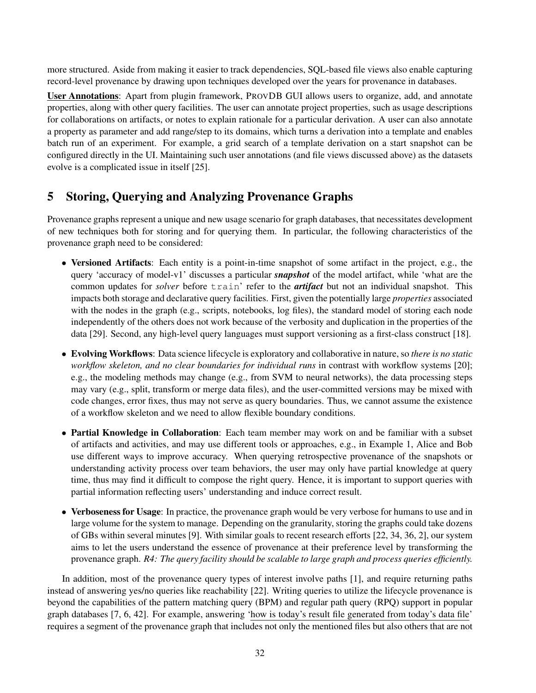more structured. Aside from making it easier to track dependencies, SQL-based file views also enable capturing record-level provenance by drawing upon techniques developed over the years for provenance in databases.

User Annotations: Apart from plugin framework, PROVDB GUI allows users to organize, add, and annotate properties, along with other query facilities. The user can annotate project properties, such as usage descriptions for collaborations on artifacts, or notes to explain rationale for a particular derivation. A user can also annotate a property as parameter and add range/step to its domains, which turns a derivation into a template and enables batch run of an experiment. For example, a grid search of a template derivation on a start snapshot can be configured directly in the UI. Maintaining such user annotations (and file views discussed above) as the datasets evolve is a complicated issue in itself [25].

# 5 Storing, Querying and Analyzing Provenance Graphs

Provenance graphs represent a unique and new usage scenario for graph databases, that necessitates development of new techniques both for storing and for querying them. In particular, the following characteristics of the provenance graph need to be considered:

- Versioned Artifacts: Each entity is a point-in-time snapshot of some artifact in the project, e.g., the query 'accuracy of model-v1' discusses a particular *snapshot* of the model artifact, while 'what are the common updates for *solver* before train' refer to the *artifact* but not an individual snapshot. This impacts both storage and declarative query facilities. First, given the potentially large *properties* associated with the nodes in the graph (e.g., scripts, notebooks, log files), the standard model of storing each node independently of the others does not work because of the verbosity and duplication in the properties of the data [29]. Second, any high-level query languages must support versioning as a first-class construct [18].
- Evolving Workflows: Data science lifecycle is exploratory and collaborative in nature, so *there is no static workflow skeleton, and no clear boundaries for individual runs* in contrast with workflow systems [20]; e.g., the modeling methods may change (e.g., from SVM to neural networks), the data processing steps may vary (e.g., split, transform or merge data files), and the user-committed versions may be mixed with code changes, error fixes, thus may not serve as query boundaries. Thus, we cannot assume the existence of a workflow skeleton and we need to allow flexible boundary conditions.
- Partial Knowledge in Collaboration: Each team member may work on and be familiar with a subset of artifacts and activities, and may use different tools or approaches, e.g., in Example 1, Alice and Bob use different ways to improve accuracy. When querying retrospective provenance of the snapshots or understanding activity process over team behaviors, the user may only have partial knowledge at query time, thus may find it difficult to compose the right query. Hence, it is important to support queries with partial information reflecting users' understanding and induce correct result.
- Verboseness for Usage: In practice, the provenance graph would be very verbose for humans to use and in large volume for the system to manage. Depending on the granularity, storing the graphs could take dozens of GBs within several minutes [9]. With similar goals to recent research efforts [22, 34, 36, 2], our system aims to let the users understand the essence of provenance at their preference level by transforming the provenance graph. *R4: The query facility should be scalable to large graph and process queries efficiently.*

In addition, most of the provenance query types of interest involve paths [1], and require returning paths instead of answering yes/no queries like reachability [22]. Writing queries to utilize the lifecycle provenance is beyond the capabilities of the pattern matching query (BPM) and regular path query (RPQ) support in popular graph databases [7, 6, 42]. For example, answering 'how is today's result file generated from today's data file' requires a segment of the provenance graph that includes not only the mentioned files but also others that are not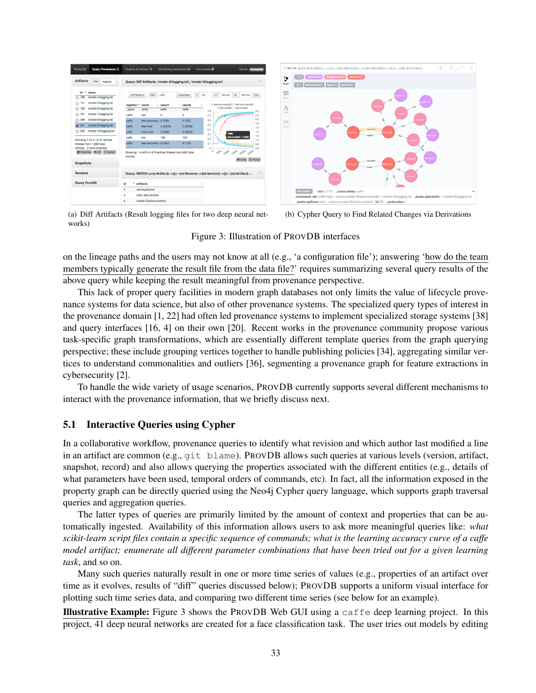| ProvDB<br>Query Provenance Q                                                                                                                                                                                                                            | Pipeline & FileView 章                                                                                                   | Monitoring Dashboard :                                                                                                                                                                      | Documents                                                                                     | Server: Connected                                                                                                                                                            |
|---------------------------------------------------------------------------------------------------------------------------------------------------------------------------------------------------------------------------------------------------------|-------------------------------------------------------------------------------------------------------------------------|---------------------------------------------------------------------------------------------------------------------------------------------------------------------------------------------|-----------------------------------------------------------------------------------------------|------------------------------------------------------------------------------------------------------------------------------------------------------------------------------|
| <b>Artifacts</b><br>filter<br>logging<br>id<br>٠<br>name<br>$\bigcap$ 106<br>model-4/logging.txt<br>model-5/logging.txt<br>131<br>C.<br>model-6/logging.txt<br>$\bigcap$ 156<br>model-7/logging.txt<br>$\bigcap$ 181<br>model-8/logging.txt<br>206<br>n | Diff Result +<br>filter<br>ingestor <sup>4</sup><br>name<br>posix<br>utility<br>caffe<br>iter<br>caffe<br>test-accuracy | Query: Diff Artifacts: 'model-0/logging.txt', 'model-9/logging.txt'<br>caffe<br>Download<br>value <sub>2</sub><br>value1<br>÷.<br>caffe<br>caffe<br>$\bf{0}$<br>$\circ$<br>0.1083<br>0.1307 | y1<br>$\mathbf{x}$<br>Iter<br>test-acc<br>۵<br>0.8<br>0.7<br>0.6                              | $\infty$<br>V <sup>2</sup><br>test-los:<br>Plot<br>Il test-accuracy@1   test-accuracy@2<br>test-loss@1   test-loss@2<br>2.4<br>22<br><b>STATISTICS</b><br>2.0                |
| model-9/logging.txt<br><b>V</b> 231<br>model-10/logging.txt<br>$\cap$ 256<br>Showing 1 to 41 of 41 entries<br>(filtered from 1.006 total<br>entries) 2 rows selected<br>E Properties O Diff C Refresh<br><b>Snapshots</b>                               | caffe<br>test-loss<br>caffe<br>train-loss<br>caffe<br>iter<br>caffe<br>test-accuracy 0.2553<br>entries)                 | 2.30259<br>2.30258<br>2.3026<br>2.30259<br>100<br>100<br>0.1194<br>Showing 1 to 879 of 879 entries (filtered from 882 total                                                                 | 0.5<br>0.4<br>0.3<br>0.2<br>0.1<br>$\circ$<br>$\circ$<br>$\partial \partial_\varphi$<br>10000 | 1.8<br>1.6<br>1.4<br>7300<br>1.2<br>test-loss@2: 1.2366<br>10<br><b><i><b>DALE LUMINATION</b></i></b><br>0.8<br>0 <sub>R</sub><br>25000<br><b>C</b> Popout<br><b>OConfig</b> |
| <b>Versions</b><br><b>Query ProvDB</b>                                                                                                                                                                                                                  | artifacts<br>۸<br>id<br>$\overline{a}$<br>solver.prototxt<br>3<br>train_test.prototxt<br>4<br>model-0/solver.prototxt   | Query: MATCH p=(x:Artifact)-->()<--(va:Version)-->(vb:Version)-->()<--(xb:Artifact)                                                                                                         |                                                                                               | $\times$                                                                                                                                                                     |



土

S MATCH p=(x:Artifact)-->()<--(va:Version)-->(vb:Version)-->()<--(xb:Artifact).

(a) Diff Artifacts (Result logging files for two deep neural networks)

(b) Cypher Query to Find Related Changes via Derivations

#### Figure 3: Illustration of PROVDB interfaces

on the lineage paths and the users may not know at all (e.g., 'a configuration file'); answering 'how do the team members typically generate the result file from the data file?' requires summarizing several query results of the above query while keeping the result meaningful from provenance perspective.

This lack of proper query facilities in modern graph databases not only limits the value of lifecycle provenance systems for data science, but also of other provenance systems. The specialized query types of interest in the provenance domain [1, 22] had often led provenance systems to implement specialized storage systems [38] and query interfaces [16, 4] on their own [20]. Recent works in the provenance community propose various task-specific graph transformations, which are essentially different template queries from the graph querying perspective; these include grouping vertices together to handle publishing policies [34], aggregating similar vertices to understand commonalities and outliers [36], segmenting a provenance graph for feature extractions in cybersecurity [2].

To handle the wide variety of usage scenarios, PROVDB currently supports several different mechanisms to interact with the provenance information, that we briefly discuss next.

#### 5.1 Interactive Queries using Cypher

In a collaborative workflow, provenance queries to identify what revision and which author last modified a line in an artifact are common (e.g., git blame). PROVDB allows such queries at various levels (version, artifact, snapshot, record) and also allows querying the properties associated with the different entities (e.g., details of what parameters have been used, temporal orders of commands, etc). In fact, all the information exposed in the property graph can be directly queried using the Neo4j Cypher query language, which supports graph traversal queries and aggregation queries.

The latter types of queries are primarily limited by the amount of context and properties that can be automatically ingested. Availability of this information allows users to ask more meaningful queries like: *what scikit-learn script files contain a specific sequence of commands; what is the learning accuracy curve of a caffe model artifact; enumerate all different parameter combinations that have been tried out for a given learning task*, and so on.

Many such queries naturally result in one or more time series of values (e.g., properties of an artifact over time as it evolves, results of "diff" queries discussed below); PROVDB supports a uniform visual interface for plotting such time series data, and comparing two different time series (see below for an example).

Illustrative Example: Figure 3 shows the PROVDB Web GUI using a caffe deep learning project. In this project, 41 deep neural networks are created for a face classification task. The user tries out models by editing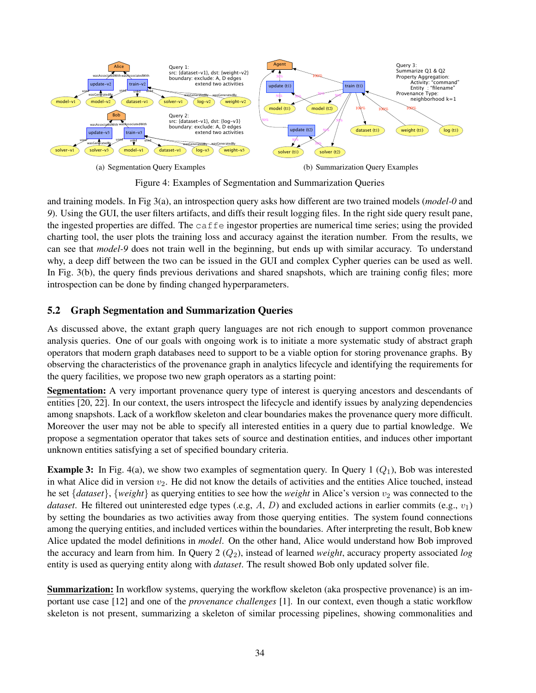

Figure 4: Examples of Segmentation and Summarization Queries

and training models. In Fig 3(a), an introspection query asks how different are two trained models (*model-0* and *9*). Using the GUI, the user filters artifacts, and diffs their result logging files. In the right side query result pane, the ingested properties are diffed. The caffe ingestor properties are numerical time series; using the provided charting tool, the user plots the training loss and accuracy against the iteration number. From the results, we can see that *model-9* does not train well in the beginning, but ends up with similar accuracy. To understand why, a deep diff between the two can be issued in the GUI and complex Cypher queries can be used as well. In Fig. 3(b), the query finds previous derivations and shared snapshots, which are training config files; more introspection can be done by finding changed hyperparameters.

### 5.2 Graph Segmentation and Summarization Queries

As discussed above, the extant graph query languages are not rich enough to support common provenance analysis queries. One of our goals with ongoing work is to initiate a more systematic study of abstract graph operators that modern graph databases need to support to be a viable option for storing provenance graphs. By observing the characteristics of the provenance graph in analytics lifecycle and identifying the requirements for the query facilities, we propose two new graph operators as a starting point:

Segmentation: A very important provenance query type of interest is querying ancestors and descendants of entities [20, 22]. In our context, the users introspect the lifecycle and identify issues by analyzing dependencies among snapshots. Lack of a workflow skeleton and clear boundaries makes the provenance query more difficult. Moreover the user may not be able to specify all interested entities in a query due to partial knowledge. We propose a segmentation operator that takes sets of source and destination entities, and induces other important unknown entities satisfying a set of specified boundary criteria.

**Example 3:** In Fig. 4(a), we show two examples of segmentation query. In Query 1  $(Q_1)$ , Bob was interested in what Alice did in version  $v_2$ . He did not know the details of activities and the entities Alice touched, instead he set  $\{dataset\}$ ,  $\{weight\}$  as querying entities to see how the *weight* in Alice's version  $v_2$  was connected to the *dataset*. He filtered out uninterested edge types (.e.g,  $A$ ,  $D$ ) and excluded actions in earlier commits (e.g.,  $v_1$ ) by setting the boundaries as two activities away from those querying entities. The system found connections among the querying entities, and included vertices within the boundaries. After interpreting the result, Bob knew Alice updated the model definitions in *model*. On the other hand, Alice would understand how Bob improved the accuracy and learn from him. In Query 2 (Q2), instead of learned *weight*, accuracy property associated *log* entity is used as querying entity along with *dataset*. The result showed Bob only updated solver file.

Summarization: In workflow systems, querying the workflow skeleton (aka prospective provenance) is an important use case [12] and one of the *provenance challenges* [1]. In our context, even though a static workflow skeleton is not present, summarizing a skeleton of similar processing pipelines, showing commonalities and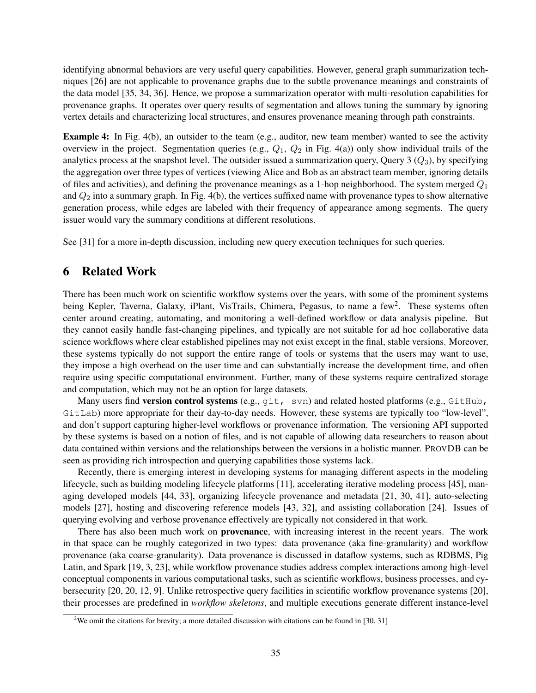identifying abnormal behaviors are very useful query capabilities. However, general graph summarization techniques [26] are not applicable to provenance graphs due to the subtle provenance meanings and constraints of the data model [35, 34, 36]. Hence, we propose a summarization operator with multi-resolution capabilities for provenance graphs. It operates over query results of segmentation and allows tuning the summary by ignoring vertex details and characterizing local structures, and ensures provenance meaning through path constraints.

Example 4: In Fig. 4(b), an outsider to the team (e.g., auditor, new team member) wanted to see the activity overview in the project. Segmentation queries (e.g.,  $Q_1$ ,  $Q_2$  in Fig. 4(a)) only show individual trails of the analytics process at the snapshot level. The outsider issued a summarization query, Query 3  $(Q_3)$ , by specifying the aggregation over three types of vertices (viewing Alice and Bob as an abstract team member, ignoring details of files and activities), and defining the provenance meanings as a 1-hop neighborhood. The system merged  $Q_1$ and  $Q_2$  into a summary graph. In Fig. 4(b), the vertices suffixed name with provenance types to show alternative generation process, while edges are labeled with their frequency of appearance among segments. The query issuer would vary the summary conditions at different resolutions.

See [31] for a more in-depth discussion, including new query execution techniques for such queries.

### 6 Related Work

There has been much work on scientific workflow systems over the years, with some of the prominent systems being Kepler, Taverna, Galaxy, iPlant, VisTrails, Chimera, Pegasus, to name a few<sup>2</sup>. These systems often center around creating, automating, and monitoring a well-defined workflow or data analysis pipeline. But they cannot easily handle fast-changing pipelines, and typically are not suitable for ad hoc collaborative data science workflows where clear established pipelines may not exist except in the final, stable versions. Moreover, these systems typically do not support the entire range of tools or systems that the users may want to use, they impose a high overhead on the user time and can substantially increase the development time, and often require using specific computational environment. Further, many of these systems require centralized storage and computation, which may not be an option for large datasets.

Many users find version control systems (e.g.,  $qit$ , svn) and related hosted platforms (e.g.,  $GitHub$ , GitLab) more appropriate for their day-to-day needs. However, these systems are typically too "low-level", and don't support capturing higher-level workflows or provenance information. The versioning API supported by these systems is based on a notion of files, and is not capable of allowing data researchers to reason about data contained within versions and the relationships between the versions in a holistic manner. PROVDB can be seen as providing rich introspection and querying capabilities those systems lack.

Recently, there is emerging interest in developing systems for managing different aspects in the modeling lifecycle, such as building modeling lifecycle platforms [11], accelerating iterative modeling process [45], managing developed models [44, 33], organizing lifecycle provenance and metadata [21, 30, 41], auto-selecting models [27], hosting and discovering reference models [43, 32], and assisting collaboration [24]. Issues of querying evolving and verbose provenance effectively are typically not considered in that work.

There has also been much work on **provenance**, with increasing interest in the recent years. The work in that space can be roughly categorized in two types: data provenance (aka fine-granularity) and workflow provenance (aka coarse-granularity). Data provenance is discussed in dataflow systems, such as RDBMS, Pig Latin, and Spark [19, 3, 23], while workflow provenance studies address complex interactions among high-level conceptual components in various computational tasks, such as scientific workflows, business processes, and cybersecurity [20, 20, 12, 9]. Unlike retrospective query facilities in scientific workflow provenance systems [20], their processes are predefined in *workflow skeletons*, and multiple executions generate different instance-level

<sup>&</sup>lt;sup>2</sup>We omit the citations for brevity; a more detailed discussion with citations can be found in [30, 31]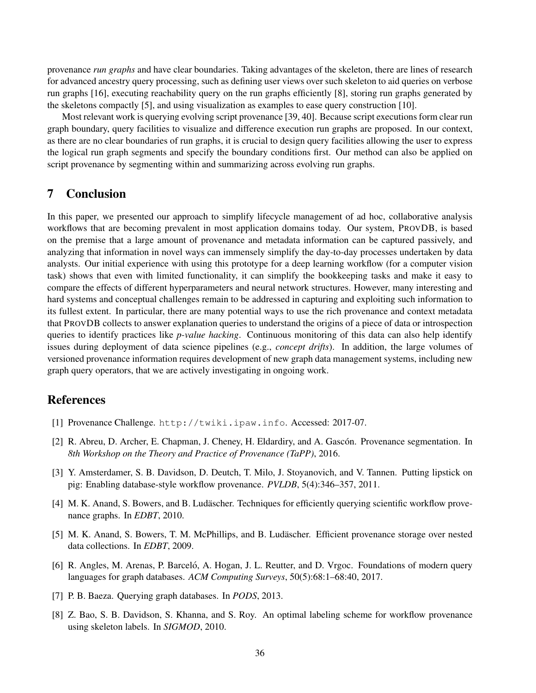provenance *run graphs* and have clear boundaries. Taking advantages of the skeleton, there are lines of research for advanced ancestry query processing, such as defining user views over such skeleton to aid queries on verbose run graphs [16], executing reachability query on the run graphs efficiently [8], storing run graphs generated by the skeletons compactly [5], and using visualization as examples to ease query construction [10].

Most relevant work is querying evolving script provenance [39, 40]. Because script executions form clear run graph boundary, query facilities to visualize and difference execution run graphs are proposed. In our context, as there are no clear boundaries of run graphs, it is crucial to design query facilities allowing the user to express the logical run graph segments and specify the boundary conditions first. Our method can also be applied on script provenance by segmenting within and summarizing across evolving run graphs.

## 7 Conclusion

In this paper, we presented our approach to simplify lifecycle management of ad hoc, collaborative analysis workflows that are becoming prevalent in most application domains today. Our system, PROVDB, is based on the premise that a large amount of provenance and metadata information can be captured passively, and analyzing that information in novel ways can immensely simplify the day-to-day processes undertaken by data analysts. Our initial experience with using this prototype for a deep learning workflow (for a computer vision task) shows that even with limited functionality, it can simplify the bookkeeping tasks and make it easy to compare the effects of different hyperparameters and neural network structures. However, many interesting and hard systems and conceptual challenges remain to be addressed in capturing and exploiting such information to its fullest extent. In particular, there are many potential ways to use the rich provenance and context metadata that PROVDB collects to answer explanation queries to understand the origins of a piece of data or introspection queries to identify practices like *p-value hacking*. Continuous monitoring of this data can also help identify issues during deployment of data science pipelines (e.g., *concept drifts*). In addition, the large volumes of versioned provenance information requires development of new graph data management systems, including new graph query operators, that we are actively investigating in ongoing work.

### References

- [1] Provenance Challenge. http://twiki.ipaw.info. Accessed: 2017-07.
- [2] R. Abreu, D. Archer, E. Chapman, J. Cheney, H. Eldardiry, and A. Gascón. Provenance segmentation. In *8th Workshop on the Theory and Practice of Provenance (TaPP)*, 2016.
- [3] Y. Amsterdamer, S. B. Davidson, D. Deutch, T. Milo, J. Stoyanovich, and V. Tannen. Putting lipstick on pig: Enabling database-style workflow provenance. *PVLDB*, 5(4):346–357, 2011.
- [4] M. K. Anand, S. Bowers, and B. Ludäscher. Techniques for efficiently querying scientific workflow provenance graphs. In *EDBT*, 2010.
- [5] M. K. Anand, S. Bowers, T. M. McPhillips, and B. Ludäscher. Efficient provenance storage over nested data collections. In *EDBT*, 2009.
- [6] R. Angles, M. Arenas, P. Barceló, A. Hogan, J. L. Reutter, and D. Vrgoc. Foundations of modern query languages for graph databases. *ACM Computing Surveys*, 50(5):68:1–68:40, 2017.
- [7] P. B. Baeza. Querying graph databases. In *PODS*, 2013.
- [8] Z. Bao, S. B. Davidson, S. Khanna, and S. Roy. An optimal labeling scheme for workflow provenance using skeleton labels. In *SIGMOD*, 2010.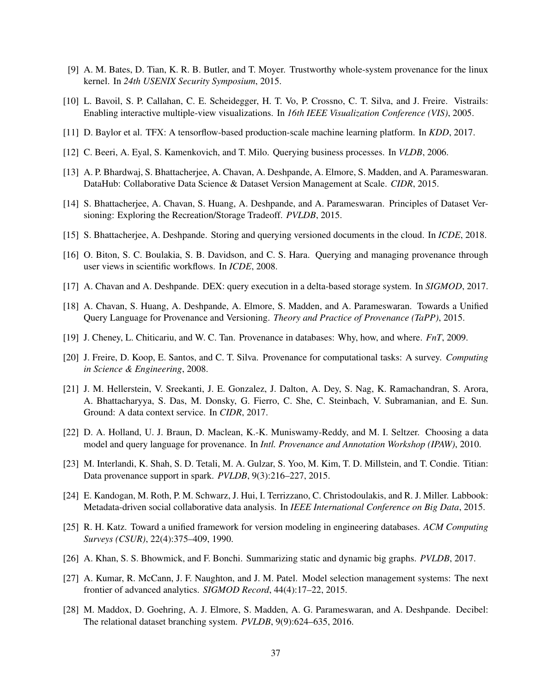- [9] A. M. Bates, D. Tian, K. R. B. Butler, and T. Moyer. Trustworthy whole-system provenance for the linux kernel. In *24th USENIX Security Symposium*, 2015.
- [10] L. Bavoil, S. P. Callahan, C. E. Scheidegger, H. T. Vo, P. Crossno, C. T. Silva, and J. Freire. Vistrails: Enabling interactive multiple-view visualizations. In *16th IEEE Visualization Conference (VIS)*, 2005.
- [11] D. Baylor et al. TFX: A tensorflow-based production-scale machine learning platform. In *KDD*, 2017.
- [12] C. Beeri, A. Eyal, S. Kamenkovich, and T. Milo. Querying business processes. In *VLDB*, 2006.
- [13] A. P. Bhardwaj, S. Bhattacherjee, A. Chavan, A. Deshpande, A. Elmore, S. Madden, and A. Parameswaran. DataHub: Collaborative Data Science & Dataset Version Management at Scale. *CIDR*, 2015.
- [14] S. Bhattacherjee, A. Chavan, S. Huang, A. Deshpande, and A. Parameswaran. Principles of Dataset Versioning: Exploring the Recreation/Storage Tradeoff. *PVLDB*, 2015.
- [15] S. Bhattacherjee, A. Deshpande. Storing and querying versioned documents in the cloud. In *ICDE*, 2018.
- [16] O. Biton, S. C. Boulakia, S. B. Davidson, and C. S. Hara. Querying and managing provenance through user views in scientific workflows. In *ICDE*, 2008.
- [17] A. Chavan and A. Deshpande. DEX: query execution in a delta-based storage system. In *SIGMOD*, 2017.
- [18] A. Chavan, S. Huang, A. Deshpande, A. Elmore, S. Madden, and A. Parameswaran. Towards a Unified Query Language for Provenance and Versioning. *Theory and Practice of Provenance (TaPP)*, 2015.
- [19] J. Cheney, L. Chiticariu, and W. C. Tan. Provenance in databases: Why, how, and where. *FnT*, 2009.
- [20] J. Freire, D. Koop, E. Santos, and C. T. Silva. Provenance for computational tasks: A survey. *Computing in Science & Engineering*, 2008.
- [21] J. M. Hellerstein, V. Sreekanti, J. E. Gonzalez, J. Dalton, A. Dey, S. Nag, K. Ramachandran, S. Arora, A. Bhattacharyya, S. Das, M. Donsky, G. Fierro, C. She, C. Steinbach, V. Subramanian, and E. Sun. Ground: A data context service. In *CIDR*, 2017.
- [22] D. A. Holland, U. J. Braun, D. Maclean, K.-K. Muniswamy-Reddy, and M. I. Seltzer. Choosing a data model and query language for provenance. In *Intl. Provenance and Annotation Workshop (IPAW)*, 2010.
- [23] M. Interlandi, K. Shah, S. D. Tetali, M. A. Gulzar, S. Yoo, M. Kim, T. D. Millstein, and T. Condie. Titian: Data provenance support in spark. *PVLDB*, 9(3):216–227, 2015.
- [24] E. Kandogan, M. Roth, P. M. Schwarz, J. Hui, I. Terrizzano, C. Christodoulakis, and R. J. Miller. Labbook: Metadata-driven social collaborative data analysis. In *IEEE International Conference on Big Data*, 2015.
- [25] R. H. Katz. Toward a unified framework for version modeling in engineering databases. *ACM Computing Surveys (CSUR)*, 22(4):375–409, 1990.
- [26] A. Khan, S. S. Bhowmick, and F. Bonchi. Summarizing static and dynamic big graphs. *PVLDB*, 2017.
- [27] A. Kumar, R. McCann, J. F. Naughton, and J. M. Patel. Model selection management systems: The next frontier of advanced analytics. *SIGMOD Record*, 44(4):17–22, 2015.
- [28] M. Maddox, D. Goehring, A. J. Elmore, S. Madden, A. G. Parameswaran, and A. Deshpande. Decibel: The relational dataset branching system. *PVLDB*, 9(9):624–635, 2016.